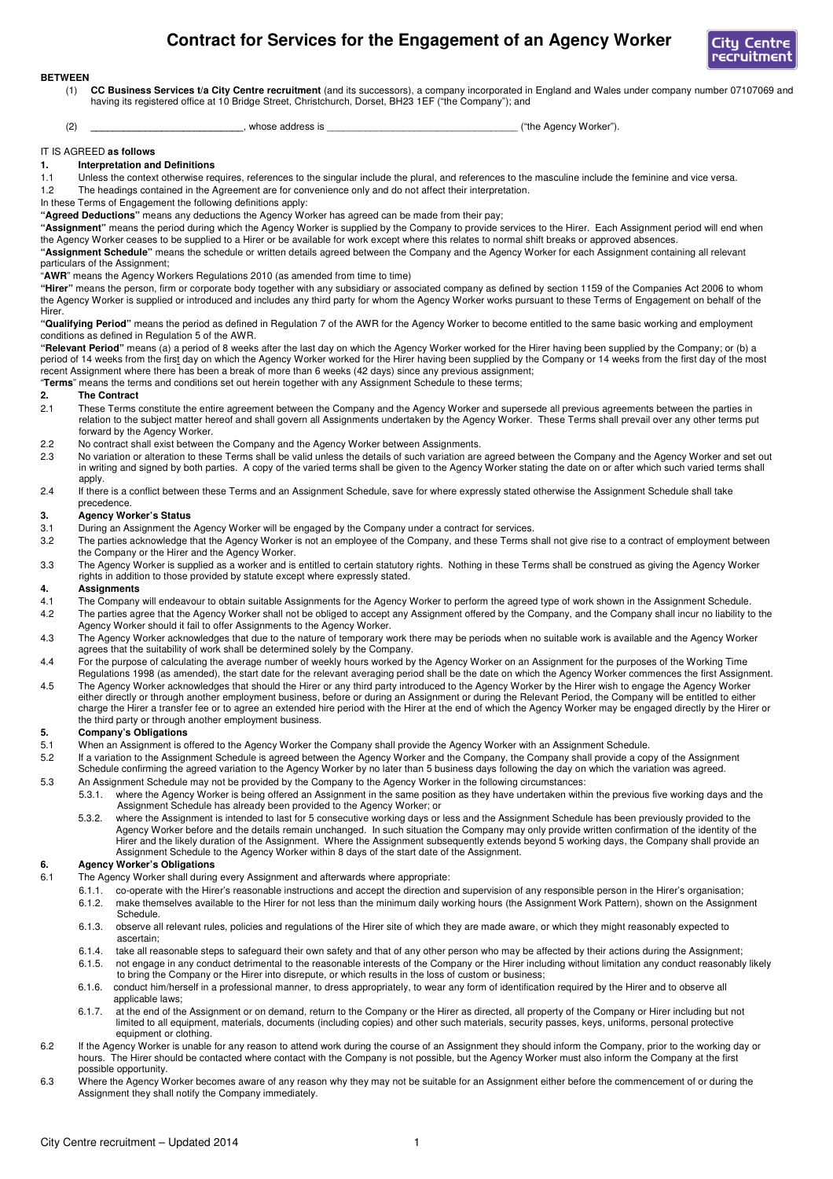# **Contract for Services for the Engagement of an Agency Worker**



#### **BETWEEN**

- (1) **CC Business Services t/a City Centre recruitment** (and its successors), a company incorporated in England and Wales under company number 07107069 and having its registered office at 10 Bridge Street, Christchurch, Dorset, BH23 1EF ("the Company"); and
- (2) **the Agency Worker" business** whose address is  $(2)$  (the Agency Worker").

#### IT IS AGREED **as follows**

#### **1. Interpretation and Definitions**

- 1.1 Unless the context otherwise requires, references to the singular include the plural, and references to the masculine include the feminine and vice versa.
- 1.2 The headings contained in the Agreement are for convenience only and do not affect their interpretation.
- In these Terms of Engagement the following definitions apply:
- **"Agreed Deductions"** means any deductions the Agency Worker has agreed can be made from their pay;
- **"Assignment"** means the period during which the Agency Worker is supplied by the Company to provide services to the Hirer. Each Assignment period will end when the Agency Worker ceases to be supplied to a Hirer or be available for work except where this relates to normal shift breaks or approved absences.
- **"Assignment Schedule"** means the schedule or written details agreed between the Company and the Agency Worker for each Assignment containing all relevant particulars of the Assignment;
- "**AWR**" means the Agency Workers Regulations 2010 (as amended from time to time)

**"Hirer"** means the person, firm or corporate body together with any subsidiary or associated company as defined by section 1159 of the Companies Act 2006 to whom the Agency Worker is supplied or introduced and includes any third party for whom the Agency Worker works pursuant to these Terms of Engagement on behalf of the Hirer.

**"Qualifying Period"** means the period as defined in Regulation 7 of the AWR for the Agency Worker to become entitled to the same basic working and employment conditions as defined in Regulation 5 of the AWR.

**"Relevant Period"** means (a) a period of 8 weeks after the last day on which the Agency Worker worked for the Hirer having been supplied by the Company; or (b) a period of 14 weeks from the first day on which the Agency Worker worked for the Hirer having been supplied by the Company or 14 weeks from the first day of the most recent Assignment where there has been a break of more than 6 weeks (42 days) since any previous assignment; "**Terms**" means the terms and conditions set out herein together with any Assignment Schedule to these terms;

- **2. The Contract 2.1 These Terms** These Terms constitute the entire agreement between the Company and the Agency Worker and supersede all previous agreements between the parties in relation to the subject matter hereof and shall govern all Assignments undertaken by the Agency Worker. These Terms shall prevail over any other terms put forward by the Agency Worker.
- 2.2 No contract shall exist between the Company and the Agency Worker between Assignments.<br>2.3 No variation or alteration to these Terms shall be valid unless the details of such variation are
- No variation or alteration to these Terms shall be valid unless the details of such variation are agreed between the Company and the Agency Worker and set out in writing and signed by both parties. A copy of the varied terms shall be given to the Agency Worker stating the date on or after which such varied terms shall apply.
- 2.4 If there is a conflict between these Terms and an Assignment Schedule, save for where expressly stated otherwise the Assignment Schedule shall take precedence.

# **3. Agency Worker's Status**

- 3.1 During an Assignment the Agency Worker will be engaged by the Company under a contract for services.
- 3.2 The parties acknowledge that the Agency Worker is not an employee of the Company, and these Terms shall not give rise to a contract of employment between the Company or the Hirer and the Agency Worker.
- 3.3 The Agency Worker is supplied as a worker and is entitled to certain statutory rights. Nothing in these Terms shall be construed as giving the Agency Worker rights in addition to those provided by statute except where expressly stated.

#### **4. Assignments**

- 4.1 The Company will endeavour to obtain suitable Assignments for the Agency Worker to perform the agreed type of work shown in the Assignment Schedule.
- 4.2 The parties agree that the Agency Worker shall not be obliged to accept any Assignment offered by the Company, and the Company shall incur no liability to the Agency Worker should it fail to offer Assignments to the Agency Worker.
- 4.3 The Agency Worker acknowledges that due to the nature of temporary work there may be periods when no suitable work is available and the Agency Worker agrees that the suitability of work shall be determined solely by the Company.
- 4.4 For the purpose of calculating the average number of weekly hours worked by the Agency Worker on an Assignment for the purposes of the Working Time Regulations 1998 (as amended), the start date for the relevant averaging period shall be the date on which the Agency Worker commences the first Assignment.
- 4.5 The Agency Worker acknowledges that should the Hirer or any third party introduced to the Agency Worker by the Hirer wish to engage the Agency Worker either directly or through another employment business, before or during an Assignment or during the Relevant Period, the Company will be entitled to either charge the Hirer a transfer fee or to agree an extended hire period with the Hirer at the end of which the Agency Worker may be engaged directly by the Hirer or the third party or through another employment business.

# **5. Company's Obligations**

- 5.1 When an Assignment is offered to the Agency Worker the Company shall provide the Agency Worker with an Assignment Schedule.<br>5.2 If a variation to the Assignment Schedule is agreed between the Agency Worker and the Comp
- 5.2 If a variation to the Assignment Schedule is agreed between the Agency Worker and the Company, the Company shall provide a copy of the Assignment Schedule confirming the agreed variation to the Agency Worker by no later than 5 business days following the day on which the variation was agreed.
- 5.3 An Assignment Schedule may not be provided by the Company to the Agency Worker in the following circumstances: 5.3.1. where the Agency Worker is being offered an Assignment in the same position as they have undertaken within the previous five working days and the Assignment Schedule has already been provided to the Agency Worker; or
	- 5.3.2. where the Assignment is intended to last for 5 consecutive working days or less and the Assignment Schedule has been previously provided to the Agency Worker before and the details remain unchanged. In such situation the Company may only provide written confirmation of the identity of the Hirer and the likely duration of the Assignment. Where the Assignment subsequently extends beyond 5 working days, the Company shall provide an Assignment Schedule to the Agency Worker within 8 days of the start date of the Assignment.

# **6. Agency Worker's Obligations**

- 
- 6.1 The Agency Worker shall during every Assignment and afterwards where appropriate: co-operate with the Hirer's reasonable instructions and accept the direction and supervision of any responsible person in the Hirer's organisation; 6.1.2. make themselves available to the Hirer for not less than the minimum daily working hours (the Assignment Work Pattern), shown on the Assignment Schedule.
	- 6.1.3. observe all relevant rules, policies and regulations of the Hirer site of which they are made aware, or which they might reasonably expected to ascertain;
	- 6.1.4. take all reasonable steps to safeguard their own safety and that of any other person who may be affected by their actions during the Assignment; 6.1.5. not engage in any conduct detrimental to the reasonable interests of the Company or the Hirer including without limitation any conduct reasonably likely
	- to bring the Company or the Hirer into disrepute, or which results in the loss of custom or business; 6.1.6. conduct him/herself in a professional manner, to dress appropriately, to wear any form of identification required by the Hirer and to observe all
	- applicable laws; 6.1.7. at the end of the Assignment or on demand, return to the Company or the Hirer as directed, all property of the Company or Hirer including but not limited to all equipment, materials, documents (including copies) and other such materials, security passes, keys, uniforms, personal protective equipment or clothing.
- 6.2 If the Agency Worker is unable for any reason to attend work during the course of an Assignment they should inform the Company, prior to the working day or hours. The Hirer should be contacted where contact with the Company is not possible, but the Agency Worker must also inform the Company at the first possible opportunity.
- 6.3 Where the Agency Worker becomes aware of any reason why they may not be suitable for an Assignment either before the commencement of or during the Assignment they shall notify the Company immediately.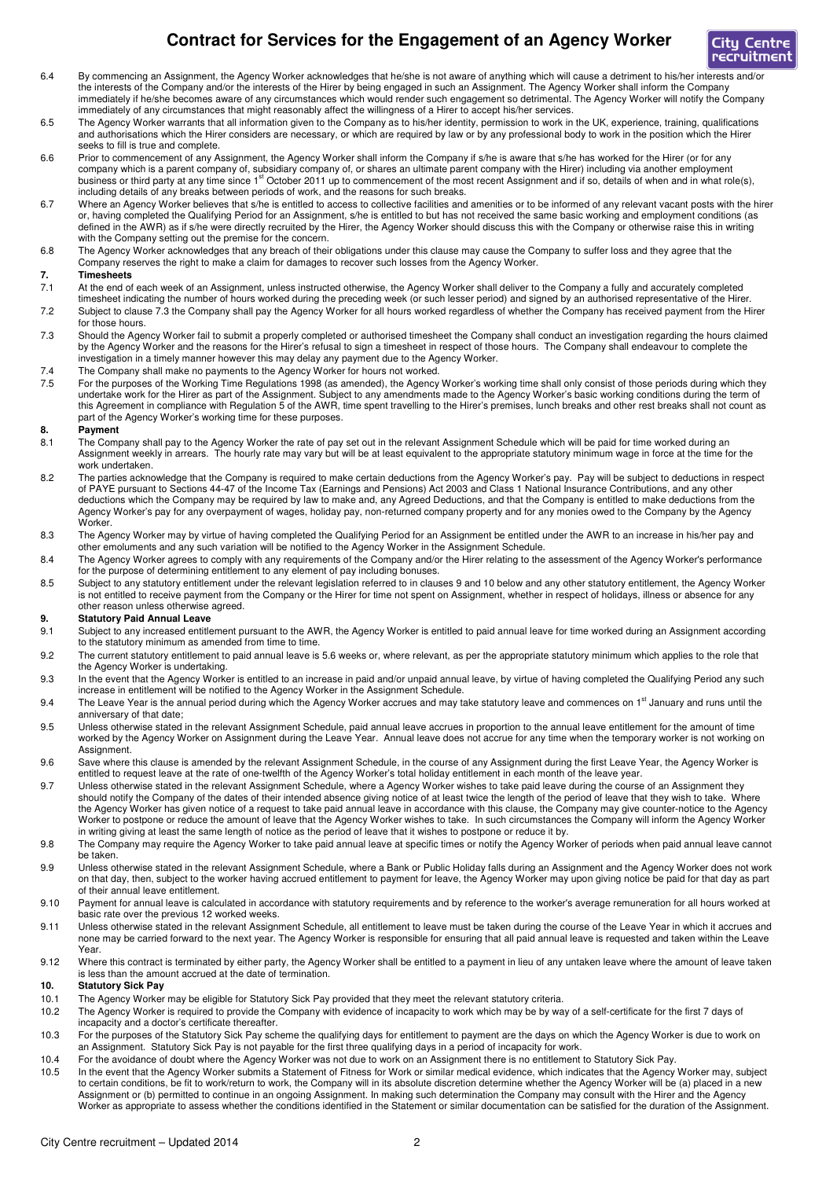# **Contract for Services for the Engagement of an Agency Worker**



- 6.4 By commencing an Assignment, the Agency Worker acknowledges that he/she is not aware of anything which will cause a detriment to his/her interests and/or the interests of the Company and/or the interests of the Hirer by being engaged in such an Assignment. The Agency Worker shall inform the Company immediately if he/she becomes aware of any circumstances which would render such engagement so detrimental. The Agency Worker will notify the Company immediately of any circumstances that might reasonably affect the willingness of a Hirer to accept his/her services.
- 6.5 The Agency Worker warrants that all information given to the Company as to his/her identity, permission to work in the UK, experience, training, qualifications and authorisations which the Hirer considers are necessary, or which are required by law or by any professional body to work in the position which the Hirer seeks to fill is true and complete.
- 6.6 Prior to commencement of any Assignment, the Agency Worker shall inform the Company if s/he is aware that s/he has worked for the Hirer (or for any company which is a parent company of, subsidiary company of, or shares an ultimate parent company with the Hirer) including via another employment business or third party at any time since 1<sup>st</sup> October 2011 up to commencement of the most recent Assignment and if so, details of when and in what role(s), including details of any breaks between periods of work, and the reasons for such breaks.
- 6.7 Where an Agency Worker believes that s/he is entitled to access to collective facilities and amenities or to be informed of any relevant vacant posts with the hirer or, having completed the Qualifying Period for an Assignment, s/he is entitled to but has not received the same basic working and employment conditions (as defined in the AWR) as if s/he were directly recruited by the Hirer, the Agency Worker should discuss this with the Company or otherwise raise this in writing with the Company setting out the premise for the concern.
- 6.8 The Agency Worker acknowledges that any breach of their obligations under this clause may cause the Company to suffer loss and they agree that the Company reserves the right to make a claim for damages to recover such losses from the Agency Worker.

# **7. Timesheets**<br> **7.1** At the end of

- 7.1 At the end of each week of an Assignment, unless instructed otherwise, the Agency Worker shall deliver to the Company a fully and accurately completed
- timesheet indicating the number of hours worked during the preceding week (or such lesser period) and signed by an authorised representative of the Hirer. 7.2 Subject to clause 7.3 the Company shall pay the Agency Worker for all hours worked regardless of whether the Company has received payment from the Hirer for those hours.
- 7.3 Should the Agency Worker fail to submit a properly completed or authorised timesheet the Company shall conduct an investigation regarding the hours claimed by the Agency Worker and the reasons for the Hirer's refusal to sign a timesheet in respect of those hours. The Company shall endeavour to complete the investigation in a timely manner however this may delay any payment due to the Agency Worker.
- 7.4 The Company shall make no payments to the Agency Worker for hours not worked.
- 7.5 For the purposes of the Working Time Regulations 1998 (as amended), the Agency Worker's working time shall only consist of those periods during which they undertake work for the Hirer as part of the Assignment. Subject to any amendments made to the Agency Worker's basic working conditions during the term of this Agreement in compliance with Regulation 5 of the AWR, time spent travelling to the Hirer's premises, lunch breaks and other rest breaks shall not count as part of the Agency Worker's working time for these purposes.

#### **8. Payment**

- 8.1 The Company shall pay to the Agency Worker the rate of pay set out in the relevant Assignment Schedule which will be paid for time worked during an Assignment weekly in arrears. The hourly rate may vary but will be at least equivalent to the appropriate statutory minimum wage in force at the time for the work undertaken.
- 8.2 The parties acknowledge that the Company is required to make certain deductions from the Agency Worker's pay. Pay will be subject to deductions in respect of PAYE pursuant to Sections 44-47 of the Income Tax (Earnings and Pensions) Act 2003 and Class 1 National Insurance Contributions, and any other deductions which the Company may be required by law to make and, any Agreed Deductions, and that the Company is entitled to make deductions from the Agency Worker's pay for any overpayment of wages, holiday pay, non-returned company property and for any monies owed to the Company by the Agency Worker.
- 8.3 The Agency Worker may by virtue of having completed the Qualifying Period for an Assignment be entitled under the AWR to an increase in his/her pay and other emoluments and any such variation will be notified to the Agency Worker in the Assignment Schedule.
- 8.4 The Agency Worker agrees to comply with any requirements of the Company and/or the Hirer relating to the assessment of the Agency Worker's performance for the purpose of determining entitlement to any element of pay including bonuses.
- 8.5 Subject to any statutory entitlement under the relevant legislation referred to in clauses 9 and 10 below and any other statutory entitlement, the Agency Worker is not entitled to receive payment from the Company or the Hirer for time not spent on Assignment, whether in respect of holidays, illness or absence for any other reason unless otherwise agreed.

### **9. Statutory Paid Annual Leave**

- 9.1 Subject to any increased entitlement pursuant to the AWR, the Agency Worker is entitled to paid annual leave for time worked during an Assignment according to the statutory minimum as amended from time to time.
- 9.2 The current statutory entitlement to paid annual leave is 5.6 weeks or, where relevant, as per the appropriate statutory minimum which applies to the role that the Agency Worker is undertaking.
- 9.3 In the event that the Agency Worker is entitled to an increase in paid and/or unpaid annual leave, by virtue of having completed the Qualifying Period any such increase in entitlement will be notified to the Agency Worker in the Assignment Schedule.
- 9.4 The Leave Year is the annual period during which the Agency Worker accrues and may take statutory leave and commences on 1<sup>st</sup> January and runs until the anniversary of that date;
- 9.5 Unless otherwise stated in the relevant Assignment Schedule, paid annual leave accrues in proportion to the annual leave entitlement for the amount of time worked by the Agency Worker on Assignment during the Leave Year. Annual leave does not accrue for any time when the temporary worker is not working on Assignment.
- 9.6 Save where this clause is amended by the relevant Assignment Schedule, in the course of any Assignment during the first Leave Year, the Agency Worker is entitled to request leave at the rate of one-twelfth of the Agency Worker's total holiday entitlement in each month of the leave year.
- 9.7 Unless otherwise stated in the relevant Assignment Schedule, where a Agency Worker wishes to take paid leave during the course of an Assignment they should notify the Company of the dates of their intended absence giving notice of at least twice the length of the period of leave that they wish to take. Where the Agency Worker has given notice of a request to take paid annual leave in accordance with this clause, the Company may give counter-notice to the Agency Worker to postpone or reduce the amount of leave that the Agency Worker wishes to take. In such circumstances the Company will inform the Agency Worker in writing giving at least the same length of notice as the period of leave that it wishes to postpone or reduce it by.
- 9.8 The Company may require the Agency Worker to take paid annual leave at specific times or notify the Agency Worker of periods when paid annual leave cannot be taken.
- 9.9 Unless otherwise stated in the relevant Assignment Schedule, where a Bank or Public Holiday falls during an Assignment and the Agency Worker does not work on that day, then, subject to the worker having accrued entitlement to payment for leave, the Agency Worker may upon giving notice be paid for that day as part of their annual leave entitlement.
- 9.10 Payment for annual leave is calculated in accordance with statutory requirements and by reference to the worker's average remuneration for all hours worked at basic rate over the previous 12 worked weeks.
- 9.11 Unless otherwise stated in the relevant Assignment Schedule, all entitlement to leave must be taken during the course of the Leave Year in which it accrues and none may be carried forward to the next year. The Agency Worker is responsible for ensuring that all paid annual leave is requested and taken within the Leave Year.
- 9.12 Where this contract is terminated by either party, the Agency Worker shall be entitled to a payment in lieu of any untaken leave where the amount of leave taken is less than the amount accrued at the date of termination.

### **10. Statutory Sick Pay**

- 10.1 The Agency Worker may be eligible for Statutory Sick Pay provided that they meet the relevant statutory criteria.
- 10.2 The Agency Worker is required to provide the Company with evidence of incapacity to work which may be by way of a self-certificate for the first 7 days of incapacity and a doctor's certificate thereafter.
- 10.3 For the purposes of the Statutory Sick Pay scheme the qualifying days for entitlement to payment are the days on which the Agency Worker is due to work on an Assignment. Statutory Sick Pay is not payable for the first three qualifying days in a period of incapacity for work.
- 10.4 For the avoidance of doubt where the Agency Worker was not due to work on an Assignment there is no entitlement to Statutory Sick Pay.
- 10.5 In the event that the Agency Worker submits a Statement of Fitness for Work or similar medical evidence, which indicates that the Agency Worker may, subject to certain conditions, be fit to work/return to work, the Company will in its absolute discretion determine whether the Agency Worker will be (a) placed in a new Assignment or (b) permitted to continue in an ongoing Assignment. In making such determination the Company may consult with the Hirer and the Agency Worker as appropriate to assess whether the conditions identified in the Statement or similar documentation can be satisfied for the duration of the Assignment.